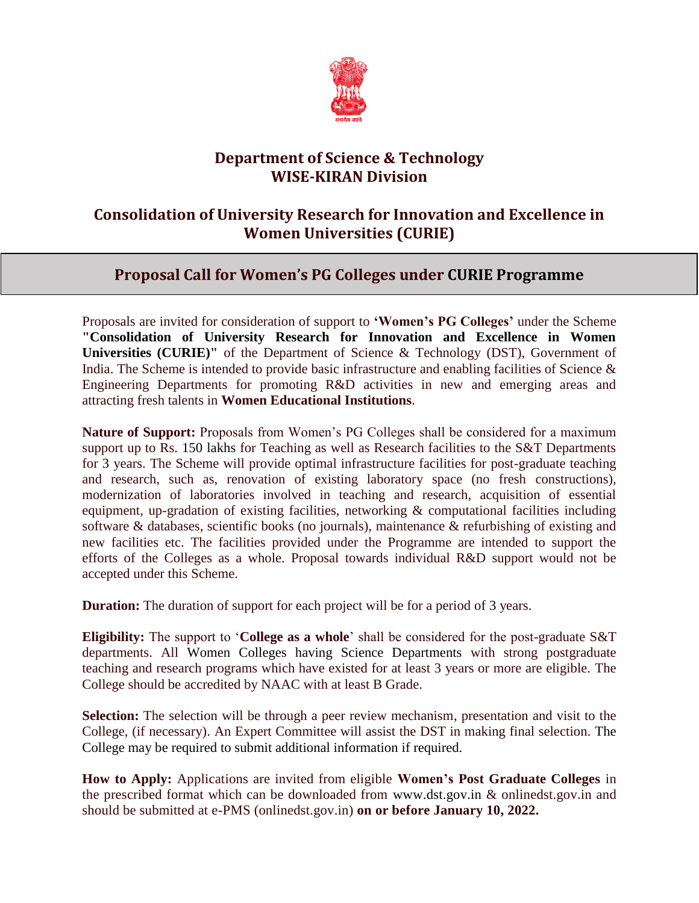

## **Department of Science & Technology WISE-KIRAN Division**

## **Consolidation of University Research for Innovation and Excellence in Women Universities (CURIE)**

## **Proposal Call for Women's PG Colleges under CURIE Programme**

Proposals are invited for consideration of support to **'Women's PG Colleges'** under the Scheme **"Consolidation of University Research for Innovation and Excellence in Women Universities (CURIE)"** of the Department of Science & Technology (DST), Government of India. The Scheme is intended to provide basic infrastructure and enabling facilities of Science & Engineering Departments for promoting R&D activities in new and emerging areas and attracting fresh talents in **Women Educational Institutions**.

**Nature of Support:** Proposals from Women's PG Colleges shall be considered for a maximum support up to Rs. 150 lakhs for Teaching as well as Research facilities to the S&T Departments for 3 years. The Scheme will provide optimal infrastructure facilities for post-graduate teaching and research, such as, renovation of existing laboratory space (no fresh constructions), modernization of laboratories involved in teaching and research, acquisition of essential equipment, up-gradation of existing facilities, networking & computational facilities including software & databases, scientific books (no journals), maintenance & refurbishing of existing and new facilities etc. The facilities provided under the Programme are intended to support the efforts of the Colleges as a whole. Proposal towards individual R&D support would not be accepted under this Scheme.

**Duration:** The duration of support for each project will be for a period of 3 years.

**Eligibility:** The support to '**College as a whole**' shall be considered for the post-graduate S&T departments. All Women Colleges having Science Departments with strong postgraduate teaching and research programs which have existed for at least 3 years or more are eligible. The College should be accredited by NAAC with at least B Grade.

**Selection:** The selection will be through a peer review mechanism, presentation and visit to the College, (if necessary). An Expert Committee will assist the DST in making final selection. The College may be required to submit additional information if required.

**How to Apply:** Applications are invited from eligible **Women's Post Graduate Colleges** in the prescribed format which can be downloaded from [www.dst.gov.in](http://www.dst.gov.in/) & onlinedst.gov.in and should be submitted at e-PMS (onlinedst.gov.in) **on or before January 10, 2022.**